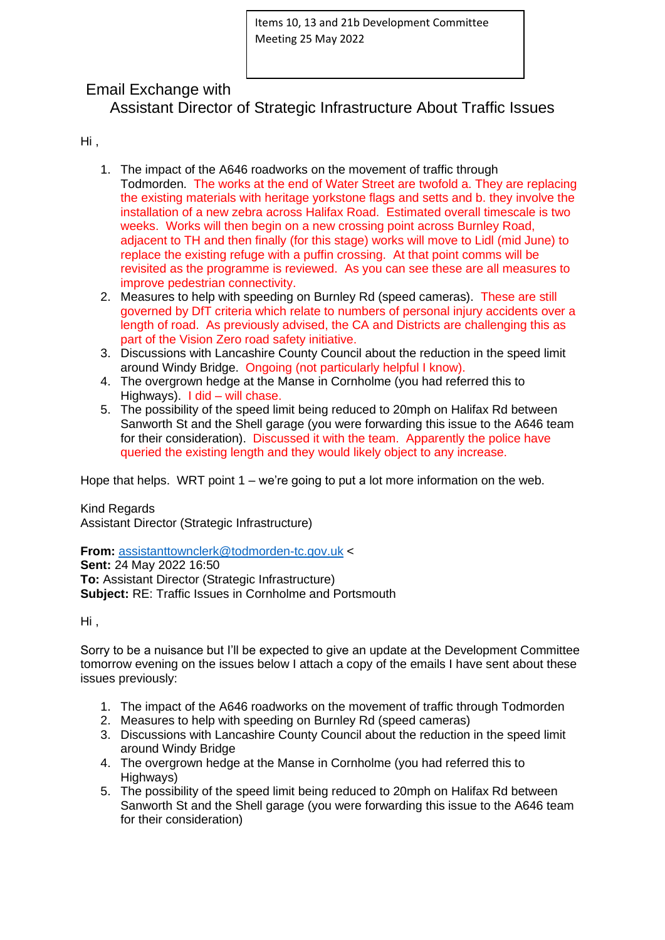## Email Exchange with

Assistant Director of Strategic Infrastructure About Traffic Issues

Hi ,

- 1. The impact of the A646 roadworks on the movement of traffic through Todmorden. The works at the end of Water Street are twofold a. They are replacing the existing materials with heritage yorkstone flags and setts and b. they involve the installation of a new zebra across Halifax Road. Estimated overall timescale is two weeks. Works will then begin on a new crossing point across Burnley Road, adjacent to TH and then finally (for this stage) works will move to Lidl (mid June) to replace the existing refuge with a puffin crossing. At that point comms will be revisited as the programme is reviewed. As you can see these are all measures to improve pedestrian connectivity.
- 2. Measures to help with speeding on Burnley Rd (speed cameras). These are still governed by DfT criteria which relate to numbers of personal injury accidents over a length of road. As previously advised, the CA and Districts are challenging this as part of the Vision Zero road safety initiative.
- 3. Discussions with Lancashire County Council about the reduction in the speed limit around Windy Bridge. Ongoing (not particularly helpful I know).
- 4. The overgrown hedge at the Manse in Cornholme (you had referred this to Highways). I did – will chase.
- 5. The possibility of the speed limit being reduced to 20mph on Halifax Rd between Sanworth St and the Shell garage (you were forwarding this issue to the A646 team for their consideration). Discussed it with the team. Apparently the police have queried the existing length and they would likely object to any increase.

Hope that helps. WRT point 1 – we're going to put a lot more information on the web.

Kind Regards Assistant Director (Strategic Infrastructure)

**From:** [assistanttownclerk@todmorden-tc.gov.uk](mailto:assistanttownclerk@todmorden-tc.gov.uk) < **Sent:** 24 May 2022 16:50 **To: Assistant Director (Strategic Infrastructure) Subject:** RE: Traffic Issues in Cornholme and Portsmouth

Hi ,

Sorry to be a nuisance but I'll be expected to give an update at the Development Committee tomorrow evening on the issues below I attach a copy of the emails I have sent about these issues previously:

- 1. The impact of the A646 roadworks on the movement of traffic through Todmorden
- 2. Measures to help with speeding on Burnley Rd (speed cameras)
- 3. Discussions with Lancashire County Council about the reduction in the speed limit around Windy Bridge
- 4. The overgrown hedge at the Manse in Cornholme (you had referred this to Highways)
- 5. The possibility of the speed limit being reduced to 20mph on Halifax Rd between Sanworth St and the Shell garage (you were forwarding this issue to the A646 team for their consideration)